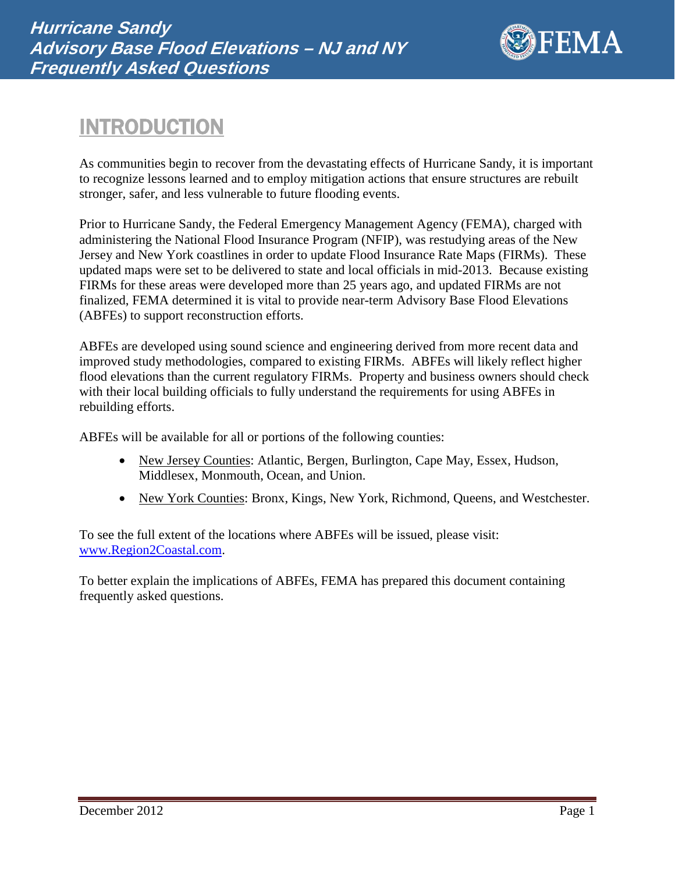

# INTRODUCTION

As communities begin to recover from the devastating effects of Hurricane Sandy, it is important to recognize lessons learned and to employ mitigation actions that ensure structures are rebuilt stronger, safer, and less vulnerable to future flooding events.

Prior to Hurricane Sandy, the Federal Emergency Management Agency (FEMA), charged with administering the National Flood Insurance Program (NFIP), was restudying areas of the New Jersey and New York coastlines in order to update Flood Insurance Rate Maps (FIRMs). These updated maps were set to be delivered to state and local officials in mid-2013. Because existing FIRMs for these areas were developed more than 25 years ago, and updated FIRMs are not finalized, FEMA determined it is vital to provide near-term Advisory Base Flood Elevations (ABFEs) to support reconstruction efforts.

ABFEs are developed using sound science and engineering derived from more recent data and improved study methodologies, compared to existing FIRMs. ABFEs will likely reflect higher flood elevations than the current regulatory FIRMs. Property and business owners should check with their local building officials to fully understand the requirements for using ABFEs in rebuilding efforts.

ABFEs will be available for all or portions of the following counties:

- New Jersey Counties: Atlantic, Bergen, Burlington, Cape May, Essex, Hudson, Middlesex, Monmouth, Ocean, and Union.
- New York Counties: Bronx, Kings, New York, Richmond, Queens, and Westchester.

To see the full extent of the locations where ABFEs will be issued, please visit: [www.Region2Coastal.com.](http://www.region2coastal.com/)

To better explain the implications of ABFEs, FEMA has prepared this document containing frequently asked questions.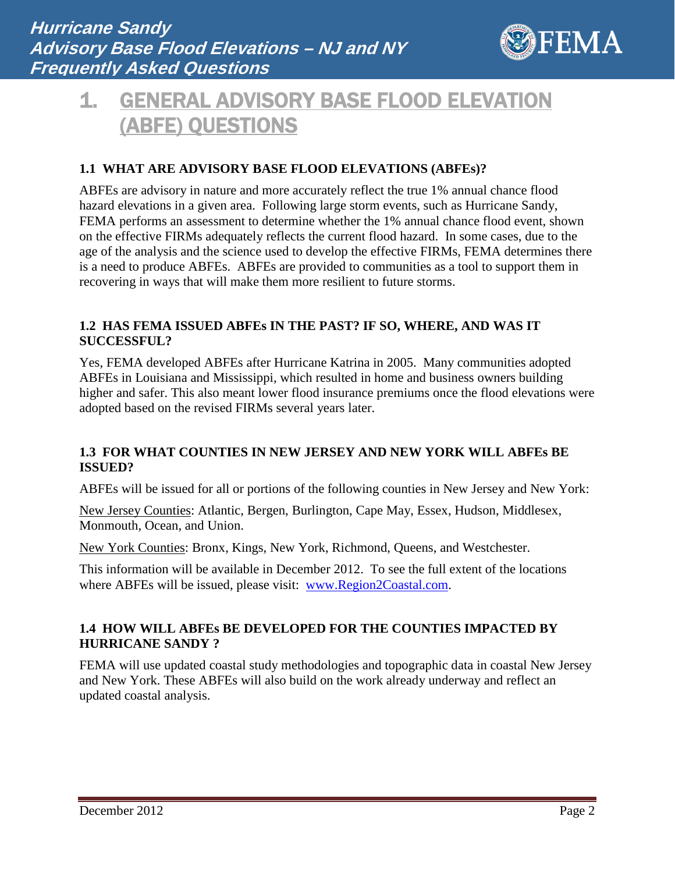

# 1. GENERAL ADVISORY BASE FLOOD ELEVATION (ABFE) QUESTIONS

## **1.1 WHAT ARE ADVISORY BASE FLOOD ELEVATIONS (ABFEs)?**

ABFEs are advisory in nature and more accurately reflect the true 1% annual chance flood hazard elevations in a given area. Following large storm events, such as Hurricane Sandy, FEMA performs an assessment to determine whether the 1% annual chance flood event, shown on the effective FIRMs adequately reflects the current flood hazard. In some cases, due to the age of the analysis and the science used to develop the effective FIRMs, FEMA determines there is a need to produce ABFEs. ABFEs are provided to communities as a tool to support them in recovering in ways that will make them more resilient to future storms.

#### **1.2 HAS FEMA ISSUED ABFEs IN THE PAST? IF SO, WHERE, AND WAS IT SUCCESSFUL?**

Yes, FEMA developed ABFEs after Hurricane Katrina in 2005. Many communities adopted ABFEs in Louisiana and Mississippi, which resulted in home and business owners building higher and safer. This also meant lower flood insurance premiums once the flood elevations were adopted based on the revised FIRMs several years later.

### **1.3 FOR WHAT COUNTIES IN NEW JERSEY AND NEW YORK WILL ABFEs BE ISSUED?**

ABFEs will be issued for all or portions of the following counties in New Jersey and New York:

New Jersey Counties: Atlantic, Bergen, Burlington, Cape May, Essex, Hudson, Middlesex, Monmouth, Ocean, and Union.

New York Counties: Bronx, Kings, New York, Richmond, Queens, and Westchester.

This information will be available in December 2012. To see the full extent of the locations where ABFEs will be issued, please visit: [www.Region2Coastal.com.](http://www.region2coastal.com/)

## **1.4 HOW WILL ABFEs BE DEVELOPED FOR THE COUNTIES IMPACTED BY HURRICANE SANDY ?**

FEMA will use updated coastal study methodologies and topographic data in coastal New Jersey and New York. These ABFEs will also build on the work already underway and reflect an updated coastal analysis.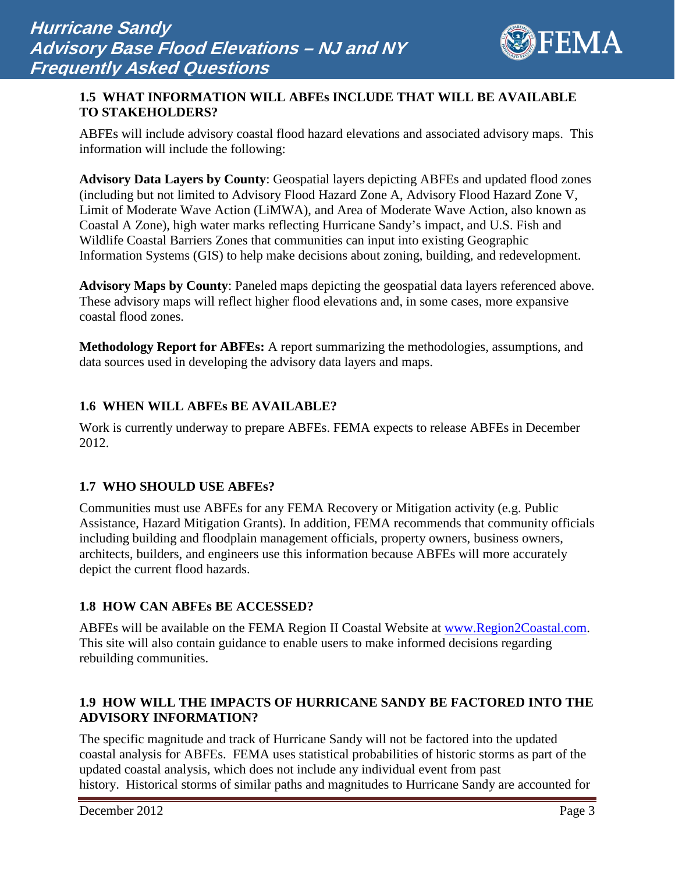

#### **1.5 WHAT INFORMATION WILL ABFEs INCLUDE THAT WILL BE AVAILABLE TO STAKEHOLDERS?**

ABFEs will include advisory coastal flood hazard elevations and associated advisory maps. This information will include the following:

**Advisory Data Layers by County**: Geospatial layers depicting ABFEs and updated flood zones (including but not limited to Advisory Flood Hazard Zone A, Advisory Flood Hazard Zone V, Limit of Moderate Wave Action (LiMWA), and Area of Moderate Wave Action, also known as Coastal A Zone), high water marks reflecting Hurricane Sandy's impact, and U.S. Fish and Wildlife Coastal Barriers Zones that communities can input into existing Geographic Information Systems (GIS) to help make decisions about zoning, building, and redevelopment.

**Advisory Maps by County**: Paneled maps depicting the geospatial data layers referenced above. These advisory maps will reflect higher flood elevations and, in some cases, more expansive coastal flood zones.

**Methodology Report for ABFEs:** A report summarizing the methodologies, assumptions, and data sources used in developing the advisory data layers and maps.

### **1.6 WHEN WILL ABFEs BE AVAILABLE?**

Work is currently underway to prepare ABFEs. FEMA expects to release ABFEs in December 2012.

#### **1.7 WHO SHOULD USE ABFEs?**

Communities must use ABFEs for any FEMA Recovery or Mitigation activity (e.g. Public Assistance, Hazard Mitigation Grants). In addition, FEMA recommends that community officials including building and floodplain management officials, property owners, business owners, architects, builders, and engineers use this information because ABFEs will more accurately depict the current flood hazards.

## **1.8 HOW CAN ABFEs BE ACCESSED?**

ABFEs will be available on the FEMA Region II Coastal Website at [www.Region2Coastal.com.](http://www.region2coastal.com/) This site will also contain guidance to enable users to make informed decisions regarding rebuilding communities.

### **1.9 HOW WILL THE IMPACTS OF HURRICANE SANDY BE FACTORED INTO THE ADVISORY INFORMATION?**

The specific magnitude and track of Hurricane Sandy will not be factored into the updated coastal analysis for ABFEs. FEMA uses statistical probabilities of historic storms as part of the updated coastal analysis, which does not include any individual event from past history. Historical storms of similar paths and magnitudes to Hurricane Sandy are accounted for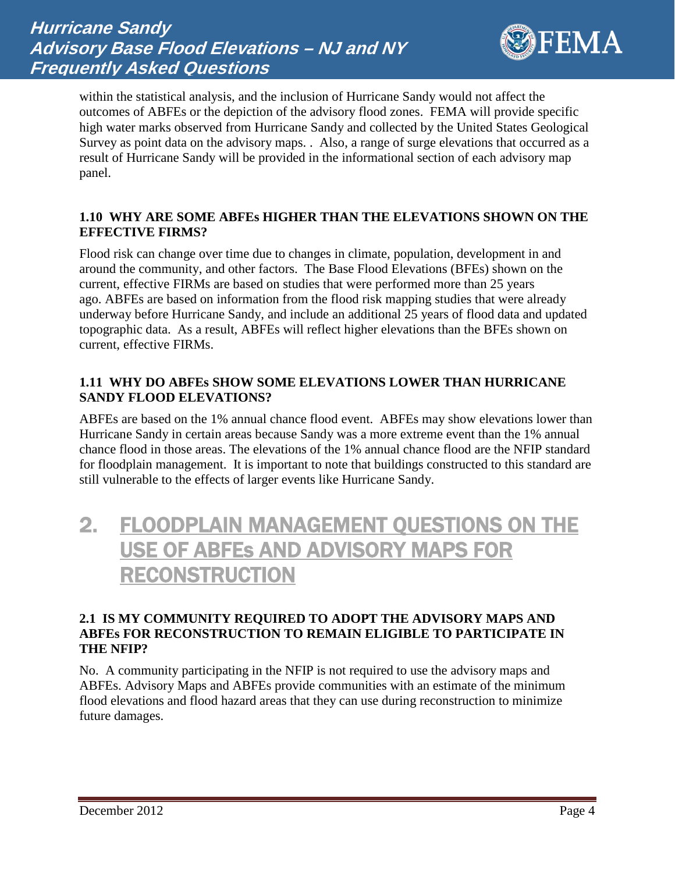

within the statistical analysis, and the inclusion of Hurricane Sandy would not affect the outcomes of ABFEs or the depiction of the advisory flood zones. FEMA will provide specific high water marks observed from Hurricane Sandy and collected by the United States Geological Survey as point data on the advisory maps. . Also, a range of surge elevations that occurred as a result of Hurricane Sandy will be provided in the informational section of each advisory map panel.

#### **1.10 WHY ARE SOME ABFEs HIGHER THAN THE ELEVATIONS SHOWN ON THE EFFECTIVE FIRMS?**

Flood risk can change over time due to changes in climate, population, development in and around the community, and other factors. The Base Flood Elevations (BFEs) shown on the current, effective FIRMs are based on studies that were performed more than 25 years ago. ABFEs are based on information from the flood risk mapping studies that were already underway before Hurricane Sandy, and include an additional 25 years of flood data and updated topographic data. As a result, ABFEs will reflect higher elevations than the BFEs shown on current, effective FIRMs.

### **1.11 WHY DO ABFEs SHOW SOME ELEVATIONS LOWER THAN HURRICANE SANDY FLOOD ELEVATIONS?**

ABFEs are based on the 1% annual chance flood event. ABFEs may show elevations lower than Hurricane Sandy in certain areas because Sandy was a more extreme event than the 1% annual chance flood in those areas. The elevations of the 1% annual chance flood are the NFIP standard for floodplain management. It is important to note that buildings constructed to this standard are still vulnerable to the effects of larger events like Hurricane Sandy.

## 2. FLOODPLAIN MANAGEMENT QUESTIONS ON THE USE OF ABFEs AND ADVISORY MAPS FOR RECONSTRUCTION

#### **2.1 IS MY COMMUNITY REQUIRED TO ADOPT THE ADVISORY MAPS AND ABFEs FOR RECONSTRUCTION TO REMAIN ELIGIBLE TO PARTICIPATE IN THE NFIP?**

No. A community participating in the NFIP is not required to use the advisory maps and ABFEs. Advisory Maps and ABFEs provide communities with an estimate of the minimum flood elevations and flood hazard areas that they can use during reconstruction to minimize future damages.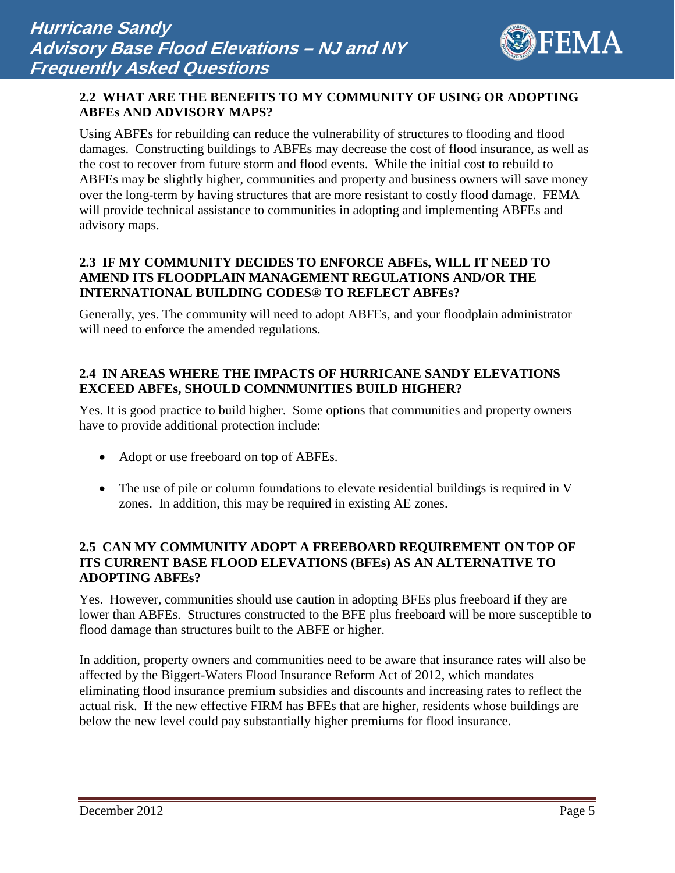

### **2.2 WHAT ARE THE BENEFITS TO MY COMMUNITY OF USING OR ADOPTING ABFEs AND ADVISORY MAPS?**

Using ABFEs for rebuilding can reduce the vulnerability of structures to flooding and flood damages. Constructing buildings to ABFEs may decrease the cost of flood insurance, as well as the cost to recover from future storm and flood events. While the initial cost to rebuild to ABFEs may be slightly higher, communities and property and business owners will save money over the long-term by having structures that are more resistant to costly flood damage. FEMA will provide technical assistance to communities in adopting and implementing ABFEs and advisory maps.

### **2.3 IF MY COMMUNITY DECIDES TO ENFORCE ABFEs, WILL IT NEED TO AMEND ITS FLOODPLAIN MANAGEMENT REGULATIONS AND/OR THE INTERNATIONAL BUILDING CODES® TO REFLECT ABFEs?**

Generally, yes. The community will need to adopt ABFEs, and your floodplain administrator will need to enforce the amended regulations.

## **2.4 IN AREAS WHERE THE IMPACTS OF HURRICANE SANDY ELEVATIONS EXCEED ABFEs, SHOULD COMNMUNITIES BUILD HIGHER?**

Yes. It is good practice to build higher. Some options that communities and property owners have to provide additional protection include:

- Adopt or use freeboard on top of ABFEs.
- The use of pile or column foundations to elevate residential buildings is required in V zones. In addition, this may be required in existing AE zones.

## **2.5 CAN MY COMMUNITY ADOPT A FREEBOARD REQUIREMENT ON TOP OF ITS CURRENT BASE FLOOD ELEVATIONS (BFEs) AS AN ALTERNATIVE TO ADOPTING ABFEs?**

Yes. However, communities should use caution in adopting BFEs plus freeboard if they are lower than ABFEs. Structures constructed to the BFE plus freeboard will be more susceptible to flood damage than structures built to the ABFE or higher.

In addition, property owners and communities need to be aware that insurance rates will also be affected by the Biggert-Waters Flood Insurance Reform Act of 2012, which mandates eliminating flood insurance premium subsidies and discounts and increasing rates to reflect the actual risk. If the new effective FIRM has BFEs that are higher, residents whose buildings are below the new level could pay substantially higher premiums for flood insurance.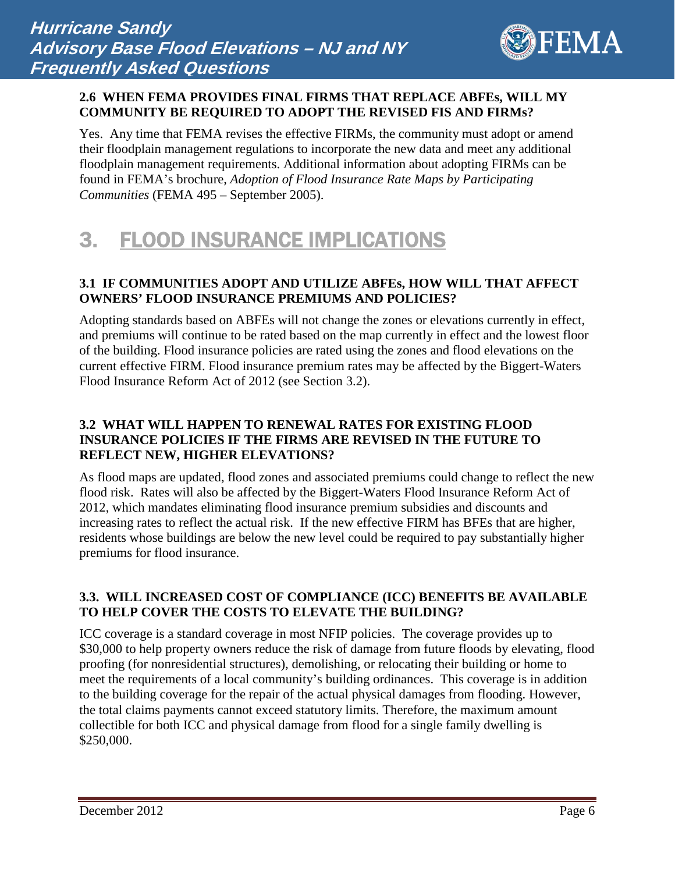

#### **2.6 WHEN FEMA PROVIDES FINAL FIRMS THAT REPLACE ABFEs, WILL MY COMMUNITY BE REQUIRED TO ADOPT THE REVISED FIS AND FIRMs?**

Yes. Any time that FEMA revises the effective FIRMs, the community must adopt or amend their floodplain management regulations to incorporate the new data and meet any additional floodplain management requirements. Additional information about adopting FIRMs can be found in FEMA's brochure, *Adoption of Flood Insurance Rate Maps by Participating Communities* (FEMA 495 – September 2005).

# 3. FLOOD INSURANCE IMPLICATIONS

## **3.1 IF COMMUNITIES ADOPT AND UTILIZE ABFEs, HOW WILL THAT AFFECT OWNERS' FLOOD INSURANCE PREMIUMS AND POLICIES?**

Adopting standards based on ABFEs will not change the zones or elevations currently in effect, and premiums will continue to be rated based on the map currently in effect and the lowest floor of the building. Flood insurance policies are rated using the zones and flood elevations on the current effective FIRM. Flood insurance premium rates may be affected by the Biggert-Waters Flood Insurance Reform Act of 2012 (see Section 3.2).

## **3.2 WHAT WILL HAPPEN TO RENEWAL RATES FOR EXISTING FLOOD INSURANCE POLICIES IF THE FIRMS ARE REVISED IN THE FUTURE TO REFLECT NEW, HIGHER ELEVATIONS?**

As flood maps are updated, flood zones and associated premiums could change to reflect the new flood risk. Rates will also be affected by the Biggert-Waters Flood Insurance Reform Act of 2012, which mandates eliminating flood insurance premium subsidies and discounts and increasing rates to reflect the actual risk. If the new effective FIRM has BFEs that are higher, residents whose buildings are below the new level could be required to pay substantially higher premiums for flood insurance.

## **3.3. WILL INCREASED COST OF COMPLIANCE (ICC) BENEFITS BE AVAILABLE TO HELP COVER THE COSTS TO ELEVATE THE BUILDING?**

ICC coverage is a standard coverage in most NFIP policies. The coverage provides up to \$30,000 to help property owners reduce the risk of damage from future floods by elevating, flood proofing (for nonresidential structures), demolishing, or relocating their building or home to meet the requirements of a local community's building ordinances. This coverage is in addition to the building coverage for the repair of the actual physical damages from flooding. However, the total claims payments cannot exceed statutory limits. Therefore, the maximum amount collectible for both ICC and physical damage from flood for a single family dwelling is \$250,000.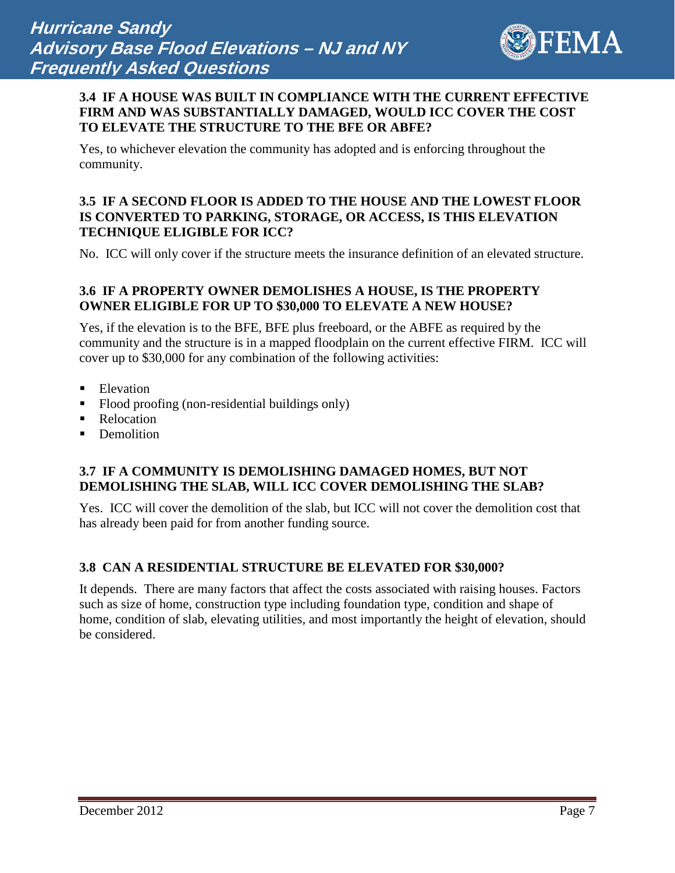

#### **3.4 IF A HOUSE WAS BUILT IN COMPLIANCE WITH THE CURRENT EFFECTIVE FIRM AND WAS SUBSTANTIALLY DAMAGED, WOULD ICC COVER THE COST TO ELEVATE THE STRUCTURE TO THE BFE OR ABFE?**

Yes, to whichever elevation the community has adopted and is enforcing throughout the community.

#### **3.5 IF A SECOND FLOOR IS ADDED TO THE HOUSE AND THE LOWEST FLOOR IS CONVERTED TO PARKING, STORAGE, OR ACCESS, IS THIS ELEVATION TECHNIQUE ELIGIBLE FOR ICC?**

No. ICC will only cover if the structure meets the insurance definition of an elevated structure.

## **3.6 IF A PROPERTY OWNER DEMOLISHES A HOUSE, IS THE PROPERTY OWNER ELIGIBLE FOR UP TO \$30,000 TO ELEVATE A NEW HOUSE?**

Yes, if the elevation is to the BFE, BFE plus freeboard, or the ABFE as required by the community and the structure is in a mapped floodplain on the current effective FIRM. ICC will cover up to \$30,000 for any combination of the following activities:

- Elevation
- Flood proofing (non-residential buildings only)
- Relocation
- Demolition

#### **3.7 IF A COMMUNITY IS DEMOLISHING DAMAGED HOMES, BUT NOT DEMOLISHING THE SLAB, WILL ICC COVER DEMOLISHING THE SLAB?**

Yes. ICC will cover the demolition of the slab, but ICC will not cover the demolition cost that has already been paid for from another funding source.

#### **3.8 CAN A RESIDENTIAL STRUCTURE BE ELEVATED FOR \$30,000?**

It depends. There are many factors that affect the costs associated with raising houses. Factors such as size of home, construction type including foundation type, condition and shape of home, condition of slab, elevating utilities, and most importantly the height of elevation, should be considered.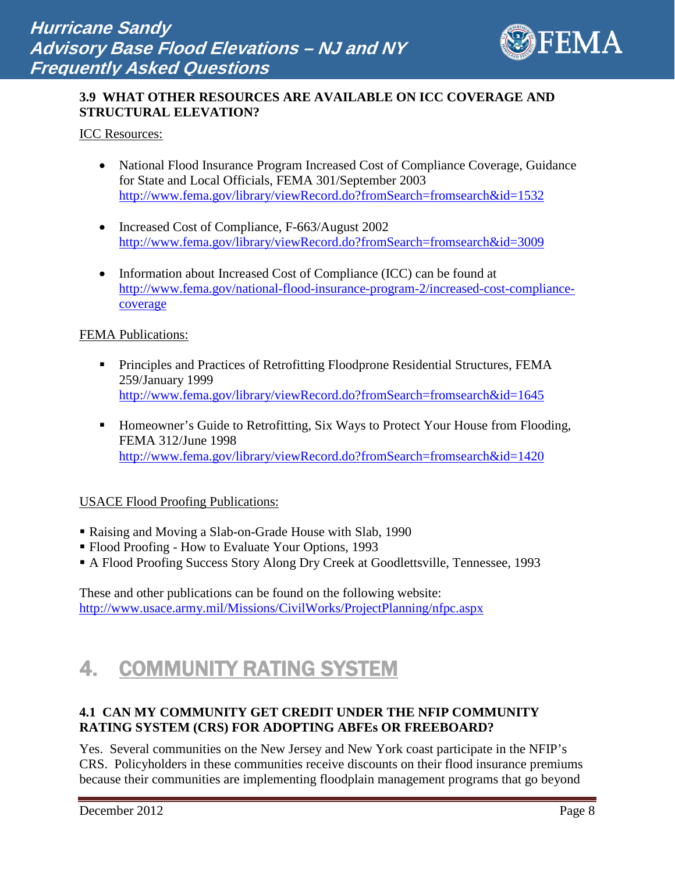

## **3.9 WHAT OTHER RESOURCES ARE AVAILABLE ON ICC COVERAGE AND STRUCTURAL ELEVATION?**

ICC Resources:

- National Flood Insurance Program Increased Cost of Compliance Coverage, Guidance for State and Local Officials, FEMA 301/September 2003 <http://www.fema.gov/library/viewRecord.do?fromSearch=fromsearch&id=1532>
- Increased Cost of Compliance, F-663/August 2002 <http://www.fema.gov/library/viewRecord.do?fromSearch=fromsearch&id=3009>
- Information about Increased Cost of Compliance (ICC) can be found at [http://www.fema.gov/national-flood-insurance-program-2/increased-cost-compliance](http://www.fema.gov/national-flood-insurance-program-2/increased-cost-compliance-coverage)[coverage](http://www.fema.gov/national-flood-insurance-program-2/increased-cost-compliance-coverage)

#### FEMA Publications:

- **Principles and Practices of Retrofitting Floodprone Residential Structures, FEMA** 259/January 1999 <http://www.fema.gov/library/viewRecord.do?fromSearch=fromsearch&id=1645>
- Homeowner's Guide to Retrofitting, Six Ways to Protect Your House from Flooding, FEMA 312/June 1998 <http://www.fema.gov/library/viewRecord.do?fromSearch=fromsearch&id=1420>

#### USACE Flood Proofing Publications:

- Raising and Moving a Slab-on-Grade House with Slab, 1990
- Flood Proofing How to Evaluate Your Options, 1993
- A Flood Proofing Success Story Along Dry Creek at Goodlettsville, Tennessee, 1993

These and other publications can be found on the following website: <http://www.usace.army.mil/Missions/CivilWorks/ProjectPlanning/nfpc.aspx>

# 4. COMMUNITY RATING SYSTEM

### **4.1 CAN MY COMMUNITY GET CREDIT UNDER THE NFIP COMMUNITY RATING SYSTEM (CRS) FOR ADOPTING ABFEs OR FREEBOARD?**

Yes. Several communities on the New Jersey and New York coast participate in the NFIP's CRS. Policyholders in these communities receive discounts on their flood insurance premiums because their communities are implementing floodplain management programs that go beyond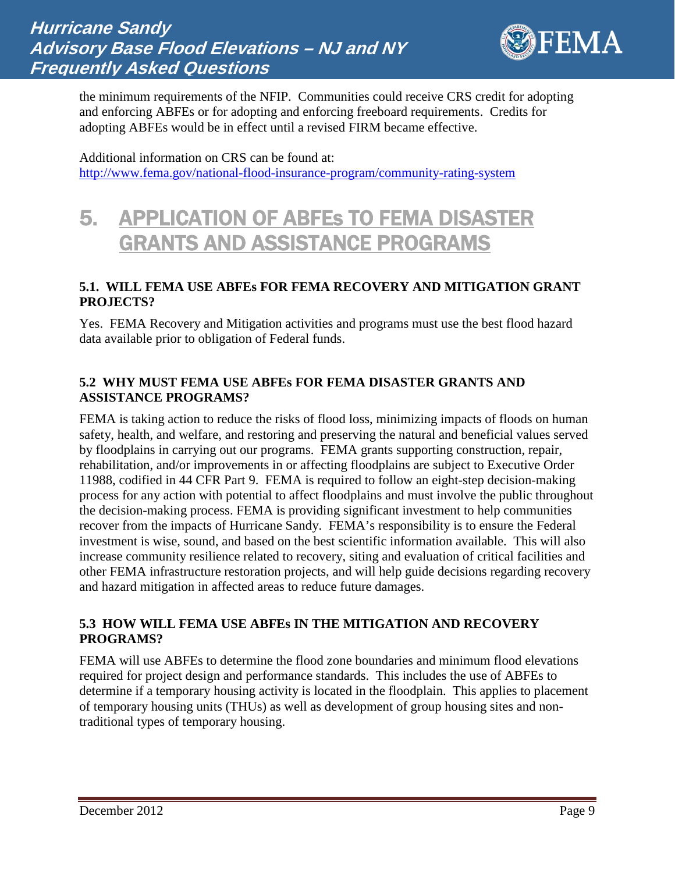

the minimum requirements of the NFIP. Communities could receive CRS credit for adopting and enforcing ABFEs or for adopting and enforcing freeboard requirements. Credits for adopting ABFEs would be in effect until a revised FIRM became effective.

Additional information on CRS can be found at: <http://www.fema.gov/national-flood-insurance-program/community-rating-system>

# 5. APPLICATION OF ABFEs TO FEMA DISASTER GRANTS AND ASSISTANCE PROGRAMS

### **5.1. WILL FEMA USE ABFEs FOR FEMA RECOVERY AND MITIGATION GRANT PROJECTS?**

Yes. FEMA Recovery and Mitigation activities and programs must use the best flood hazard data available prior to obligation of Federal funds.

## **5.2 WHY MUST FEMA USE ABFEs FOR FEMA DISASTER GRANTS AND ASSISTANCE PROGRAMS?**

FEMA is taking action to reduce the risks of flood loss, minimizing impacts of floods on human safety, health, and welfare, and restoring and preserving the natural and beneficial values served by floodplains in carrying out our programs. FEMA grants supporting construction, repair, rehabilitation, and/or improvements in or affecting floodplains are subject to Executive Order 11988, codified in 44 CFR Part 9. FEMA is required to follow an eight-step decision-making process for any action with potential to affect floodplains and must involve the public throughout the decision-making process. FEMA is providing significant investment to help communities recover from the impacts of Hurricane Sandy. FEMA's responsibility is to ensure the Federal investment is wise, sound, and based on the best scientific information available. This will also increase community resilience related to recovery, siting and evaluation of critical facilities and other FEMA infrastructure restoration projects, and will help guide decisions regarding recovery and hazard mitigation in affected areas to reduce future damages.

## **5.3 HOW WILL FEMA USE ABFEs IN THE MITIGATION AND RECOVERY PROGRAMS?**

FEMA will use ABFEs to determine the flood zone boundaries and minimum flood elevations required for project design and performance standards. This includes the use of ABFEs to determine if a temporary housing activity is located in the floodplain. This applies to placement of temporary housing units (THUs) as well as development of group housing sites and nontraditional types of temporary housing.